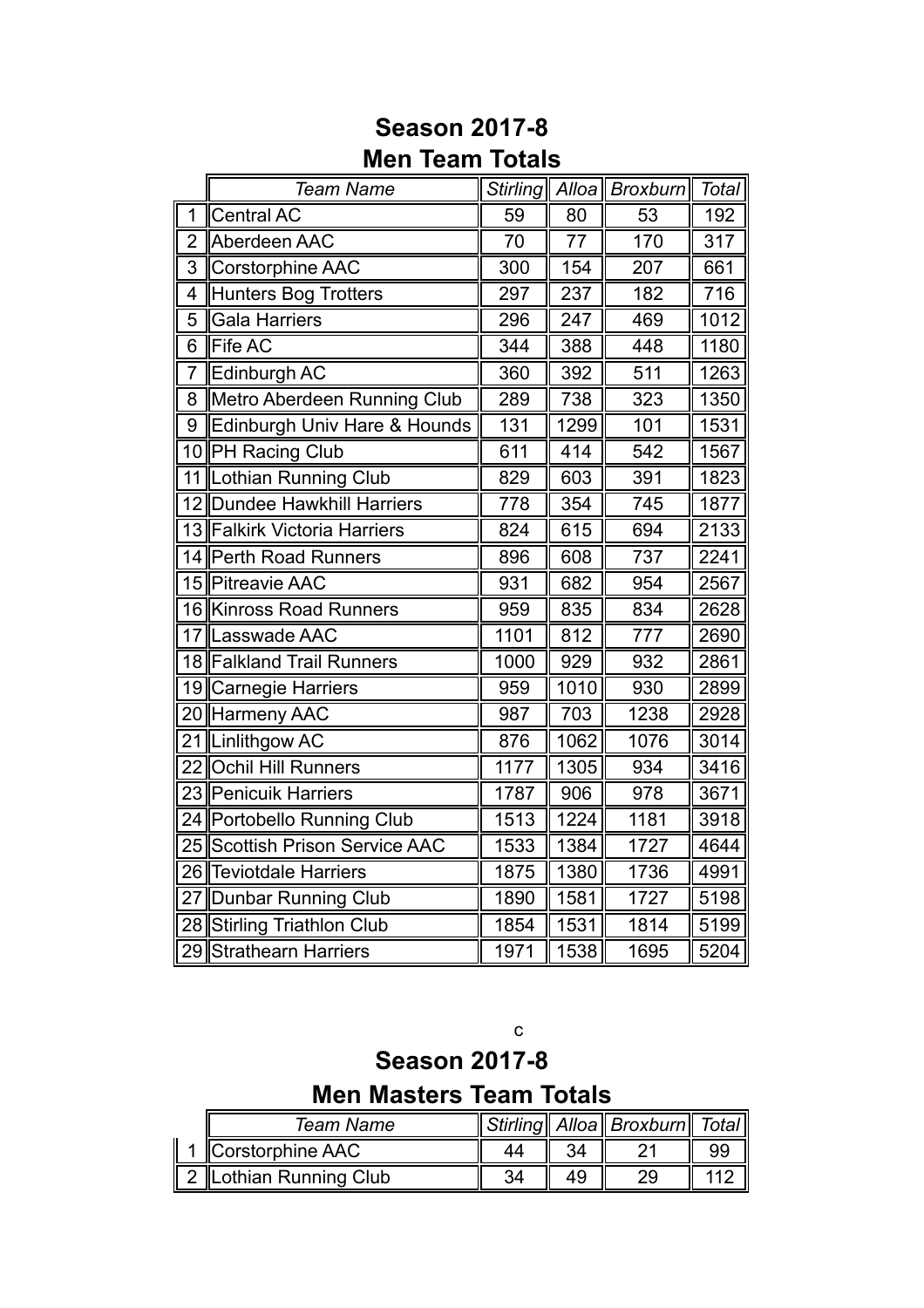|                 | <b>Team Name</b>               |      |      | Stirling   Alloa   Broxburn | Total |
|-----------------|--------------------------------|------|------|-----------------------------|-------|
| 1               | <b>Central AC</b>              | 59   | 80   | 53                          | 192   |
| $\overline{2}$  | Aberdeen AAC                   | 70   | 77   | 170                         | 317   |
| 3               | <b>Corstorphine AAC</b>        | 300  | 154  | 207                         | 661   |
| $\overline{4}$  | Hunters Bog Trotters           | 297  | 237  | 182                         | 716   |
| 5               | <b>Gala Harriers</b>           | 296  | 247  | 469                         | 1012  |
| 6               | <b>Fife AC</b>                 | 344  | 388  | 448                         | 1180  |
| $\overline{7}$  | Edinburgh AC                   | 360  | 392  | 511                         | 1263  |
| 8               | Metro Aberdeen Running Club    | 289  | 738  | 323                         | 1350  |
| 9               | Edinburgh Univ Hare & Hounds   | 131  | 1299 | 101                         | 1531  |
|                 | 10 PH Racing Club              | 611  | 414  | 542                         | 1567  |
|                 | 11 Lothian Running Club        | 829  | 603  | 391                         | 1823  |
|                 | 12 Dundee Hawkhill Harriers    | 778  | 354  | 745                         | 1877  |
|                 | 13 Falkirk Victoria Harriers   | 824  | 615  | 694                         | 2133  |
|                 | 14 Perth Road Runners          | 896  | 608  | 737                         | 2241  |
|                 | 15 Pitreavie AAC               | 931  | 682  | 954                         | 2567  |
|                 | 16 Kinross Road Runners        | 959  | 835  | 834                         | 2628  |
|                 | 17 Lasswade AAC                | 1101 | 812  | 777                         | 2690  |
|                 | 18 Falkland Trail Runners      | 1000 | 929  | 932                         | 2861  |
|                 | 19 Carnegie Harriers           | 959  | 1010 | 930                         | 2899  |
|                 | 20 Harmeny AAC                 | 987  | 703  | 1238                        | 2928  |
|                 | 21 Linlithgow AC               | 876  | 1062 | 1076                        | 3014  |
| 22 <sub>1</sub> | <b>Ochil Hill Runners</b>      | 1177 | 1305 | 934                         | 3416  |
|                 | 23 Penicuik Harriers           | 1787 | 906  | 978                         | 3671  |
|                 | 24 Portobello Running Club     | 1513 | 1224 | 1181                        | 3918  |
|                 | 25 Scottish Prison Service AAC | 1533 | 1384 | 1727                        | 4644  |
| 26              | <b>Teviotdale Harriers</b>     | 1875 | 1380 | 1736                        | 4991  |
| 27              | Dunbar Running Club            | 1890 | 1581 | 1727                        | 5198  |
|                 | 28 Stirling Triathlon Club     | 1854 | 1531 | 1814                        | 5199  |
| 29              | <b>Strathearn Harriers</b>     | 1971 | 1538 | 1695                        | 5204  |

## **Season 2017-8 Men Team Totals**

c

**Season 2017-8 Men Masters Team Totals**

| Team Name            |  | Stirling   Alloa   Broxburn   Total |  |
|----------------------|--|-------------------------------------|--|
| Corstorphine AAC     |  |                                     |  |
| Lothian Running Club |  |                                     |  |